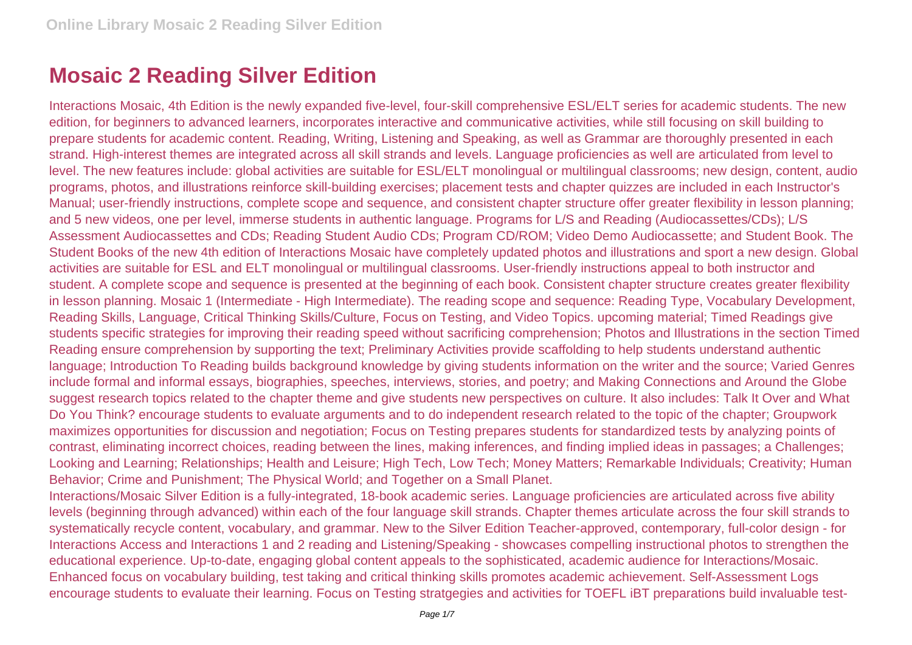## **Mosaic 2 Reading Silver Edition**

Interactions Mosaic, 4th Edition is the newly expanded five-level, four-skill comprehensive ESL/ELT series for academic students. The new edition, for beginners to advanced learners, incorporates interactive and communicative activities, while still focusing on skill building to prepare students for academic content. Reading, Writing, Listening and Speaking, as well as Grammar are thoroughly presented in each strand. High-interest themes are integrated across all skill strands and levels. Language proficiencies as well are articulated from level to level. The new features include: global activities are suitable for ESL/ELT monolingual or multilingual classrooms; new design, content, audio programs, photos, and illustrations reinforce skill-building exercises; placement tests and chapter quizzes are included in each Instructor's Manual; user-friendly instructions, complete scope and sequence, and consistent chapter structure offer greater flexibility in lesson planning; and 5 new videos, one per level, immerse students in authentic language. Programs for L/S and Reading (Audiocassettes/CDs); L/S Assessment Audiocassettes and CDs; Reading Student Audio CDs; Program CD/ROM; Video Demo Audiocassette; and Student Book. The Student Books of the new 4th edition of Interactions Mosaic have completely updated photos and illustrations and sport a new design. Global activities are suitable for ESL and ELT monolingual or multilingual classrooms. User-friendly instructions appeal to both instructor and student. A complete scope and sequence is presented at the beginning of each book. Consistent chapter structure creates greater flexibility in lesson planning. Mosaic 1 (Intermediate - High Intermediate). The reading scope and sequence: Reading Type, Vocabulary Development, Reading Skills, Language, Critical Thinking Skills/Culture, Focus on Testing, and Video Topics. upcoming material; Timed Readings give students specific strategies for improving their reading speed without sacrificing comprehension; Photos and Illustrations in the section Timed Reading ensure comprehension by supporting the text; Preliminary Activities provide scaffolding to help students understand authentic language; Introduction To Reading builds background knowledge by giving students information on the writer and the source; Varied Genres include formal and informal essays, biographies, speeches, interviews, stories, and poetry; and Making Connections and Around the Globe suggest research topics related to the chapter theme and give students new perspectives on culture. It also includes: Talk It Over and What Do You Think? encourage students to evaluate arguments and to do independent research related to the topic of the chapter; Groupwork maximizes opportunities for discussion and negotiation; Focus on Testing prepares students for standardized tests by analyzing points of contrast, eliminating incorrect choices, reading between the lines, making inferences, and finding implied ideas in passages; a Challenges; Looking and Learning; Relationships; Health and Leisure; High Tech, Low Tech; Money Matters; Remarkable Individuals; Creativity; Human Behavior; Crime and Punishment; The Physical World; and Together on a Small Planet.

Interactions/Mosaic Silver Edition is a fully-integrated, 18-book academic series. Language proficiencies are articulated across five ability levels (beginning through advanced) within each of the four language skill strands. Chapter themes articulate across the four skill strands to systematically recycle content, vocabulary, and grammar. New to the Silver Edition Teacher-approved, contemporary, full-color design - for Interactions Access and Interactions 1 and 2 reading and Listening/Speaking - showcases compelling instructional photos to strengthen the educational experience. Up-to-date, engaging global content appeals to the sophisticated, academic audience for Interactions/Mosaic. Enhanced focus on vocabulary building, test taking and critical thinking skills promotes academic achievement. Self-Assessment Logs encourage students to evaluate their learning. Focus on Testing stratgegies and activities for TOEFL iBT preparations build invaluable test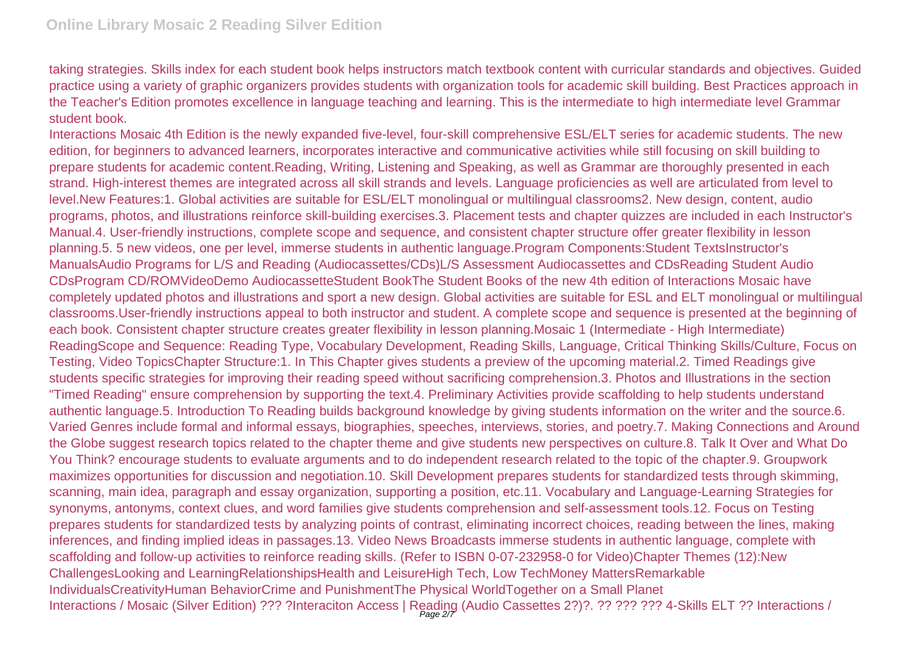taking strategies. Skills index for each student book helps instructors match textbook content with curricular standards and objectives. Guided practice using a variety of graphic organizers provides students with organization tools for academic skill building. Best Practices approach in the Teacher's Edition promotes excellence in language teaching and learning. This is the intermediate to high intermediate level Grammar student book.

Interactions Mosaic 4th Edition is the newly expanded five-level, four-skill comprehensive ESL/ELT series for academic students. The new edition, for beginners to advanced learners, incorporates interactive and communicative activities while still focusing on skill building to prepare students for academic content.Reading, Writing, Listening and Speaking, as well as Grammar are thoroughly presented in each strand. High-interest themes are integrated across all skill strands and levels. Language proficiencies as well are articulated from level to level.New Features:1. Global activities are suitable for ESL/ELT monolingual or multilingual classrooms2. New design, content, audio programs, photos, and illustrations reinforce skill-building exercises.3. Placement tests and chapter quizzes are included in each Instructor's Manual.4. User-friendly instructions, complete scope and sequence, and consistent chapter structure offer greater flexibility in lesson planning.5. 5 new videos, one per level, immerse students in authentic language.Program Components:Student TextsInstructor's ManualsAudio Programs for L/S and Reading (Audiocassettes/CDs)L/S Assessment Audiocassettes and CDsReading Student Audio CDsProgram CD/ROMVideoDemo AudiocassetteStudent BookThe Student Books of the new 4th edition of Interactions Mosaic have completely updated photos and illustrations and sport a new design. Global activities are suitable for ESL and ELT monolingual or multilingual classrooms.User-friendly instructions appeal to both instructor and student. A complete scope and sequence is presented at the beginning of each book. Consistent chapter structure creates greater flexibility in lesson planning.Mosaic 1 (Intermediate - High Intermediate) ReadingScope and Sequence: Reading Type, Vocabulary Development, Reading Skills, Language, Critical Thinking Skills/Culture, Focus on Testing, Video TopicsChapter Structure:1. In This Chapter gives students a preview of the upcoming material.2. Timed Readings give students specific strategies for improving their reading speed without sacrificing comprehension.3. Photos and Illustrations in the section "Timed Reading" ensure comprehension by supporting the text.4. Preliminary Activities provide scaffolding to help students understand authentic language.5. Introduction To Reading builds background knowledge by giving students information on the writer and the source.6. Varied Genres include formal and informal essays, biographies, speeches, interviews, stories, and poetry.7. Making Connections and Around the Globe suggest research topics related to the chapter theme and give students new perspectives on culture.8. Talk It Over and What Do You Think? encourage students to evaluate arguments and to do independent research related to the topic of the chapter.9. Groupwork maximizes opportunities for discussion and negotiation.10. Skill Development prepares students for standardized tests through skimming, scanning, main idea, paragraph and essay organization, supporting a position, etc.11. Vocabulary and Language-Learning Strategies for synonyms, antonyms, context clues, and word families give students comprehension and self-assessment tools.12. Focus on Testing prepares students for standardized tests by analyzing points of contrast, eliminating incorrect choices, reading between the lines, making inferences, and finding implied ideas in passages.13. Video News Broadcasts immerse students in authentic language, complete with scaffolding and follow-up activities to reinforce reading skills. (Refer to ISBN 0-07-232958-0 for Video)Chapter Themes (12):New ChallengesLooking and LearningRelationshipsHealth and LeisureHigh Tech, Low TechMoney MattersRemarkable IndividualsCreativityHuman BehaviorCrime and PunishmentThe Physical WorldTogether on a Small Planet Interactions / Mosaic (Silver Edition) ??? ?Interaciton Access | Reading (Audio Cassettes 2?)?. ?? ??? ??? 4-Skills ELT ?? Interactions /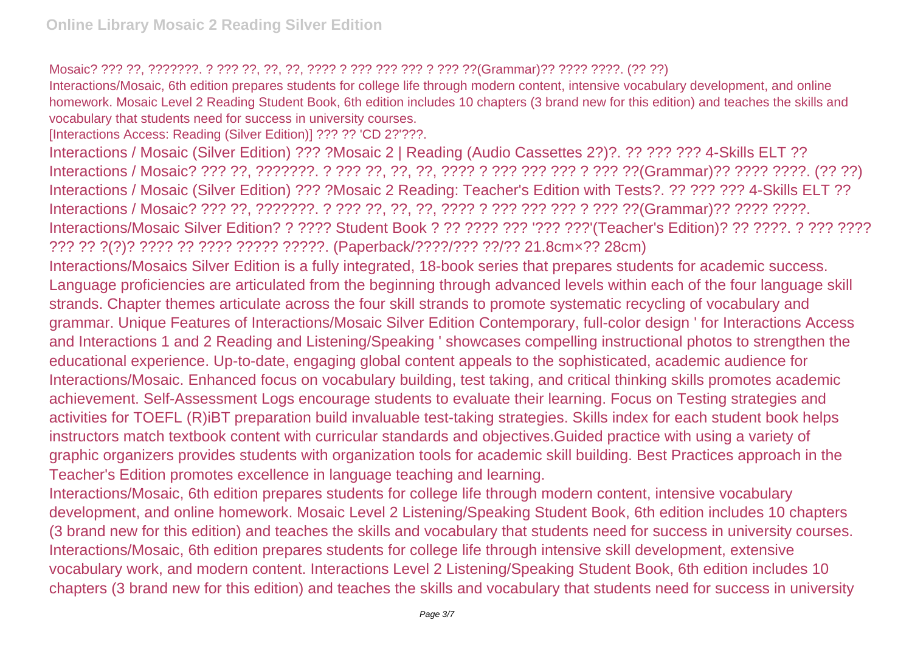## Mosaic? ??? ??, ???????. ? ??? ??, ??, ??, ???? ? ??? ??? ??? ? ??? ??(Grammar)?? ???? ????. (?? ??)

Interactions/Mosaic, 6th edition prepares students for college life through modern content, intensive vocabulary development, and online homework. Mosaic Level 2 Reading Student Book, 6th edition includes 10 chapters (3 brand new for this edition) and teaches the skills and vocabulary that students need for success in university courses.

[Interactions Access: Reading (Silver Edition)] ??? ?? 'CD 2?'???.

Interactions / Mosaic (Silver Edition) ??? ?Mosaic 2 | Reading (Audio Cassettes 2?)?. ?? ??? ??? 4-Skills ELT ?? Interactions / Mosaic? ??? ??, ???????. ? ??? ??, ??, ??, ???? ? ??? ??? ??? ? ??? ??(Grammar)?? ???? ????. (?? ??) Interactions / Mosaic (Silver Edition) ??? ?Mosaic 2 Reading: Teacher's Edition with Tests?. ?? ??? ??? 4-Skills ELT ?? Interactions / Mosaic? ??? ??, ???????. ? ??? ??, ??, ??, ???? ? ??? ??? ??? ? ??? ??(Grammar)?? ???? ????. Interactions/Mosaic Silver Edition? ? ???? Student Book ? ?? ???? ??? ??? ???'(Teacher's Edition)? ?? ????. ? ??? ???? ??? ?? ?(?)? ???? ?? ???? ????? ?????. (Paperback/????/??? ??/?? 21.8cm×?? 28cm)

Interactions/Mosaics Silver Edition is a fully integrated, 18-book series that prepares students for academic success. Language proficiencies are articulated from the beginning through advanced levels within each of the four language skill strands. Chapter themes articulate across the four skill strands to promote systematic recycling of vocabulary and grammar. Unique Features of Interactions/Mosaic Silver Edition Contemporary, full-color design ' for Interactions Access and Interactions 1 and 2 Reading and Listening/Speaking ' showcases compelling instructional photos to strengthen the educational experience. Up-to-date, engaging global content appeals to the sophisticated, academic audience for Interactions/Mosaic. Enhanced focus on vocabulary building, test taking, and critical thinking skills promotes academic achievement. Self-Assessment Logs encourage students to evaluate their learning. Focus on Testing strategies and activities for TOEFL (R)iBT preparation build invaluable test-taking strategies. Skills index for each student book helps instructors match textbook content with curricular standards and objectives.Guided practice with using a variety of graphic organizers provides students with organization tools for academic skill building. Best Practices approach in the Teacher's Edition promotes excellence in language teaching and learning.

Interactions/Mosaic, 6th edition prepares students for college life through modern content, intensive vocabulary development, and online homework. Mosaic Level 2 Listening/Speaking Student Book, 6th edition includes 10 chapters (3 brand new for this edition) and teaches the skills and vocabulary that students need for success in university courses. Interactions/Mosaic, 6th edition prepares students for college life through intensive skill development, extensive vocabulary work, and modern content. Interactions Level 2 Listening/Speaking Student Book, 6th edition includes 10 chapters (3 brand new for this edition) and teaches the skills and vocabulary that students need for success in university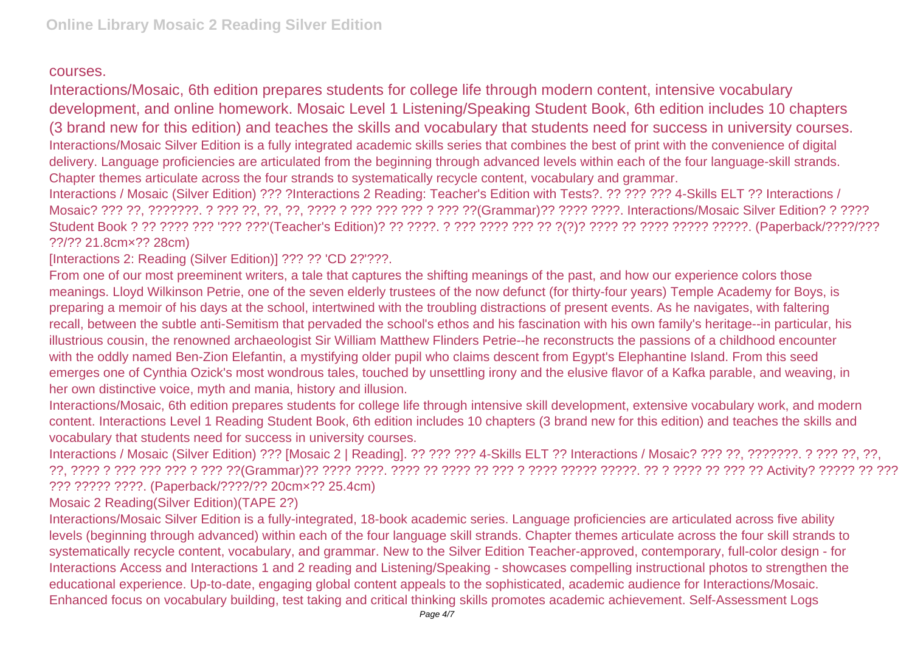## courses.

Interactions/Mosaic, 6th edition prepares students for college life through modern content, intensive vocabulary development, and online homework. Mosaic Level 1 Listening/Speaking Student Book, 6th edition includes 10 chapters (3 brand new for this edition) and teaches the skills and vocabulary that students need for success in university courses. Interactions/Mosaic Silver Edition is a fully integrated academic skills series that combines the best of print with the convenience of digital delivery. Language proficiencies are articulated from the beginning through advanced levels within each of the four language-skill strands. Chapter themes articulate across the four strands to systematically recycle content, vocabulary and grammar.

Interactions / Mosaic (Silver Edition) ??? ?Interactions 2 Reading: Teacher's Edition with Tests?. ?? ??? ??? 4-Skills ELT ?? Interactions / Mosaic? ??? ??, ???????. ? ??? ??, ??, ??, ???? ? ??? ??? ??? ? ??? ??(Grammar)?? ???? ????. Interactions/Mosaic Silver Edition? ? ???? Student Book ? ?? ???? ??? '??? ???'(Teacher's Edition)? ?? ????. ? ??? ???? ??? ?? ?(?)? ???? ?? ???? ????? ?????. (Paperback/????/??? ??/?? 21.8cm×?? 28cm)

[Interactions 2: Reading (Silver Edition)] ??? ?? 'CD 2?'???.

From one of our most preeminent writers, a tale that captures the shifting meanings of the past, and how our experience colors those meanings. Lloyd Wilkinson Petrie, one of the seven elderly trustees of the now defunct (for thirty-four years) Temple Academy for Boys, is preparing a memoir of his days at the school, intertwined with the troubling distractions of present events. As he navigates, with faltering recall, between the subtle anti-Semitism that pervaded the school's ethos and his fascination with his own family's heritage--in particular, his illustrious cousin, the renowned archaeologist Sir William Matthew Flinders Petrie--he reconstructs the passions of a childhood encounter with the oddly named Ben-Zion Elefantin, a mystifying older pupil who claims descent from Egypt's Elephantine Island. From this seed emerges one of Cynthia Ozick's most wondrous tales, touched by unsettling irony and the elusive flavor of a Kafka parable, and weaving, in her own distinctive voice, myth and mania, history and illusion.

Interactions/Mosaic, 6th edition prepares students for college life through intensive skill development, extensive vocabulary work, and modern content. Interactions Level 1 Reading Student Book, 6th edition includes 10 chapters (3 brand new for this edition) and teaches the skills and vocabulary that students need for success in university courses.

Interactions / Mosaic (Silver Edition) ??? [Mosaic 2 | Reading]. ?? ??? ??? 4-Skills ELT ?? Interactions / Mosaic? ??? ??, ???????. ? ??? ??, ??, ??, ??, ???? ? ??? ??? ??? ? ??? ??(Grammar)?? ???? ????. ???? ?? ???? ?? ??? ? ???? ????? ?????. ?? ? ???? ?? ??? ?? Activity? ????? ?? ??? ??? ????? ????. (Paperback/????/?? 20cm×?? 25.4cm)

Mosaic 2 Reading(Silver Edition)(TAPE 2?)

Interactions/Mosaic Silver Edition is a fully-integrated, 18-book academic series. Language proficiencies are articulated across five ability levels (beginning through advanced) within each of the four language skill strands. Chapter themes articulate across the four skill strands to systematically recycle content, vocabulary, and grammar. New to the Silver Edition Teacher-approved, contemporary, full-color design - for Interactions Access and Interactions 1 and 2 reading and Listening/Speaking - showcases compelling instructional photos to strengthen the educational experience. Up-to-date, engaging global content appeals to the sophisticated, academic audience for Interactions/Mosaic. Enhanced focus on vocabulary building, test taking and critical thinking skills promotes academic achievement. Self-Assessment Logs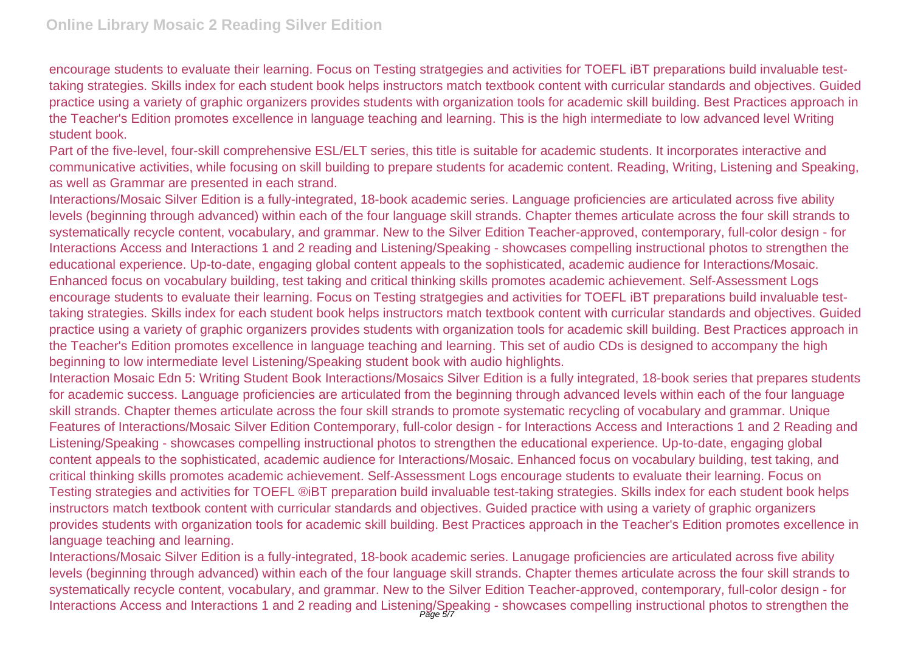encourage students to evaluate their learning. Focus on Testing stratgegies and activities for TOEFL iBT preparations build invaluable testtaking strategies. Skills index for each student book helps instructors match textbook content with curricular standards and objectives. Guided practice using a variety of graphic organizers provides students with organization tools for academic skill building. Best Practices approach in the Teacher's Edition promotes excellence in language teaching and learning. This is the high intermediate to low advanced level Writing student book.

Part of the five-level, four-skill comprehensive ESL/ELT series, this title is suitable for academic students. It incorporates interactive and communicative activities, while focusing on skill building to prepare students for academic content. Reading, Writing, Listening and Speaking, as well as Grammar are presented in each strand.

Interactions/Mosaic Silver Edition is a fully-integrated, 18-book academic series. Language proficiencies are articulated across five ability levels (beginning through advanced) within each of the four language skill strands. Chapter themes articulate across the four skill strands to systematically recycle content, vocabulary, and grammar. New to the Silver Edition Teacher-approved, contemporary, full-color design - for Interactions Access and Interactions 1 and 2 reading and Listening/Speaking - showcases compelling instructional photos to strengthen the educational experience. Up-to-date, engaging global content appeals to the sophisticated, academic audience for Interactions/Mosaic. Enhanced focus on vocabulary building, test taking and critical thinking skills promotes academic achievement. Self-Assessment Logs encourage students to evaluate their learning. Focus on Testing stratgegies and activities for TOEFL iBT preparations build invaluable testtaking strategies. Skills index for each student book helps instructors match textbook content with curricular standards and objectives. Guided practice using a variety of graphic organizers provides students with organization tools for academic skill building. Best Practices approach in the Teacher's Edition promotes excellence in language teaching and learning. This set of audio CDs is designed to accompany the high beginning to low intermediate level Listening/Speaking student book with audio highlights.

Interaction Mosaic Edn 5: Writing Student Book Interactions/Mosaics Silver Edition is a fully integrated, 18-book series that prepares students for academic success. Language proficiencies are articulated from the beginning through advanced levels within each of the four language skill strands. Chapter themes articulate across the four skill strands to promote systematic recycling of vocabulary and grammar. Unique Features of Interactions/Mosaic Silver Edition Contemporary, full-color design - for Interactions Access and Interactions 1 and 2 Reading and Listening/Speaking - showcases compelling instructional photos to strengthen the educational experience. Up-to-date, engaging global content appeals to the sophisticated, academic audience for Interactions/Mosaic. Enhanced focus on vocabulary building, test taking, and critical thinking skills promotes academic achievement. Self-Assessment Logs encourage students to evaluate their learning. Focus on Testing strategies and activities for TOEFL ®iBT preparation build invaluable test-taking strategies. Skills index for each student book helps instructors match textbook content with curricular standards and objectives. Guided practice with using a variety of graphic organizers provides students with organization tools for academic skill building. Best Practices approach in the Teacher's Edition promotes excellence in language teaching and learning.

Interactions/Mosaic Silver Edition is a fully-integrated, 18-book academic series. Lanugage proficiencies are articulated across five ability levels (beginning through advanced) within each of the four language skill strands. Chapter themes articulate across the four skill strands to systematically recycle content, vocabulary, and grammar. New to the Silver Edition Teacher-approved, contemporary, full-color design - for Interactions Access and Interactions 1 and 2 reading and Listening/Speaking - showcases compelling instructional photos to strengthen the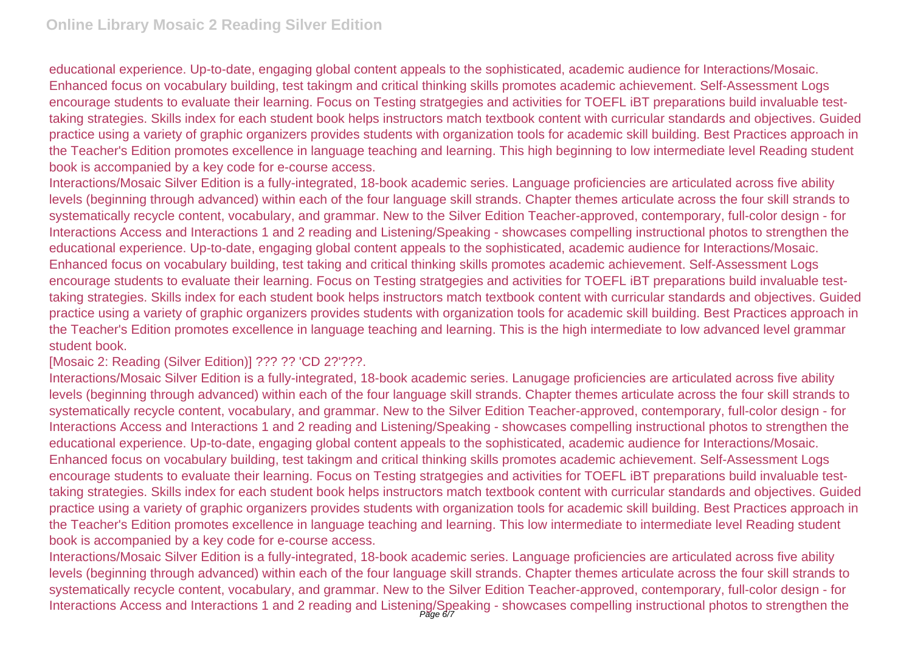educational experience. Up-to-date, engaging global content appeals to the sophisticated, academic audience for Interactions/Mosaic. Enhanced focus on vocabulary building, test takingm and critical thinking skills promotes academic achievement. Self-Assessment Logs encourage students to evaluate their learning. Focus on Testing stratgegies and activities for TOEFL iBT preparations build invaluable testtaking strategies. Skills index for each student book helps instructors match textbook content with curricular standards and objectives. Guided practice using a variety of graphic organizers provides students with organization tools for academic skill building. Best Practices approach in the Teacher's Edition promotes excellence in language teaching and learning. This high beginning to low intermediate level Reading student book is accompanied by a key code for e-course access.

Interactions/Mosaic Silver Edition is a fully-integrated, 18-book academic series. Language proficiencies are articulated across five ability levels (beginning through advanced) within each of the four language skill strands. Chapter themes articulate across the four skill strands to systematically recycle content, vocabulary, and grammar. New to the Silver Edition Teacher-approved, contemporary, full-color design - for Interactions Access and Interactions 1 and 2 reading and Listening/Speaking - showcases compelling instructional photos to strengthen the educational experience. Up-to-date, engaging global content appeals to the sophisticated, academic audience for Interactions/Mosaic. Enhanced focus on vocabulary building, test taking and critical thinking skills promotes academic achievement. Self-Assessment Logs encourage students to evaluate their learning. Focus on Testing stratgegies and activities for TOEFL iBT preparations build invaluable testtaking strategies. Skills index for each student book helps instructors match textbook content with curricular standards and objectives. Guided practice using a variety of graphic organizers provides students with organization tools for academic skill building. Best Practices approach in the Teacher's Edition promotes excellence in language teaching and learning. This is the high intermediate to low advanced level grammar student book.

[Mosaic 2: Reading (Silver Edition)] ??? ?? 'CD 2?'???.

Interactions/Mosaic Silver Edition is a fully-integrated, 18-book academic series. Lanugage proficiencies are articulated across five ability levels (beginning through advanced) within each of the four language skill strands. Chapter themes articulate across the four skill strands to systematically recycle content, vocabulary, and grammar. New to the Silver Edition Teacher-approved, contemporary, full-color design - for Interactions Access and Interactions 1 and 2 reading and Listening/Speaking - showcases compelling instructional photos to strengthen the educational experience. Up-to-date, engaging global content appeals to the sophisticated, academic audience for Interactions/Mosaic. Enhanced focus on vocabulary building, test takingm and critical thinking skills promotes academic achievement. Self-Assessment Logs encourage students to evaluate their learning. Focus on Testing stratgegies and activities for TOEFL iBT preparations build invaluable testtaking strategies. Skills index for each student book helps instructors match textbook content with curricular standards and objectives. Guided practice using a variety of graphic organizers provides students with organization tools for academic skill building. Best Practices approach in the Teacher's Edition promotes excellence in language teaching and learning. This low intermediate to intermediate level Reading student book is accompanied by a key code for e-course access.

Interactions/Mosaic Silver Edition is a fully-integrated, 18-book academic series. Language proficiencies are articulated across five ability levels (beginning through advanced) within each of the four language skill strands. Chapter themes articulate across the four skill strands to systematically recycle content, vocabulary, and grammar. New to the Silver Edition Teacher-approved, contemporary, full-color design - for Interactions Access and Interactions 1 and 2 reading and Listening/Speaking - showcases compelling instructional photos to strengthen the